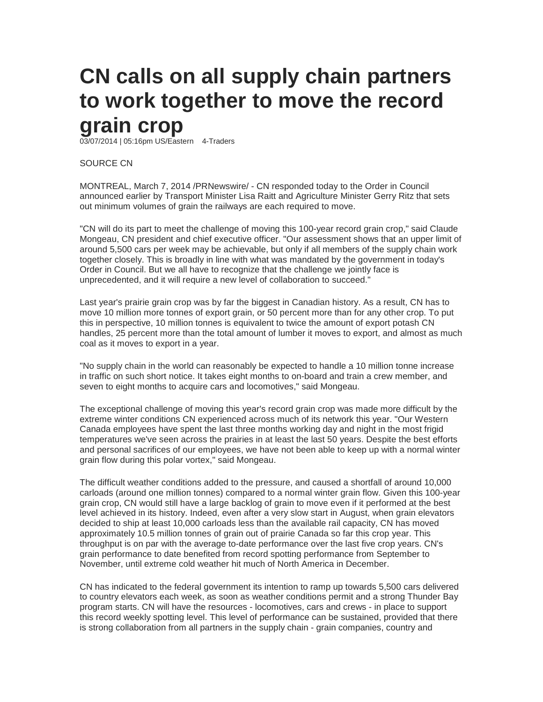## **CN calls on all supply chain partners to work together to move the record grain crop**

03/07/2014 | 05:16pm US/Eastern 4-Traders

SOURCE CN

MONTREAL, March 7, 2014 /PRNewswire/ - CN responded today to the Order in Council announced earlier by Transport Minister Lisa Raitt and Agriculture Minister Gerry Ritz that sets out minimum volumes of grain the railways are each required to move.

"CN will do its part to meet the challenge of moving this 100-year record grain crop," said Claude Mongeau, CN president and chief executive officer. "Our assessment shows that an upper limit of around 5,500 cars per week may be achievable, but only if all members of the supply chain work together closely. This is broadly in line with what was mandated by the government in today's Order in Council. But we all have to recognize that the challenge we jointly face is unprecedented, and it will require a new level of collaboration to succeed."

Last year's prairie grain crop was by far the biggest in Canadian history. As a result, CN has to move 10 million more tonnes of export grain, or 50 percent more than for any other crop. To put this in perspective, 10 million tonnes is equivalent to twice the amount of export potash CN handles, 25 percent more than the total amount of lumber it moves to export, and almost as much coal as it moves to export in a year.

"No supply chain in the world can reasonably be expected to handle a 10 million tonne increase in traffic on such short notice. It takes eight months to on-board and train a crew member, and seven to eight months to acquire cars and locomotives," said Mongeau.

The exceptional challenge of moving this year's record grain crop was made more difficult by the extreme winter conditions CN experienced across much of its network this year. "Our Western Canada employees have spent the last three months working day and night in the most frigid temperatures we've seen across the prairies in at least the last 50 years. Despite the best efforts and personal sacrifices of our employees, we have not been able to keep up with a normal winter grain flow during this polar vortex," said Mongeau.

The difficult weather conditions added to the pressure, and caused a shortfall of around 10,000 carloads (around one million tonnes) compared to a normal winter grain flow. Given this 100-year grain crop, CN would still have a large backlog of grain to move even if it performed at the best level achieved in its history. Indeed, even after a very slow start in August, when grain elevators decided to ship at least 10,000 carloads less than the available rail capacity, CN has moved approximately 10.5 million tonnes of grain out of prairie Canada so far this crop year. This throughput is on par with the average to-date performance over the last five crop years. CN's grain performance to date benefited from record spotting performance from September to November, until extreme cold weather hit much of North America in December.

CN has indicated to the federal government its intention to ramp up towards 5,500 cars delivered to country elevators each week, as soon as weather conditions permit and a strong Thunder Bay program starts. CN will have the resources - locomotives, cars and crews - in place to support this record weekly spotting level. This level of performance can be sustained, provided that there is strong collaboration from all partners in the supply chain - grain companies, country and